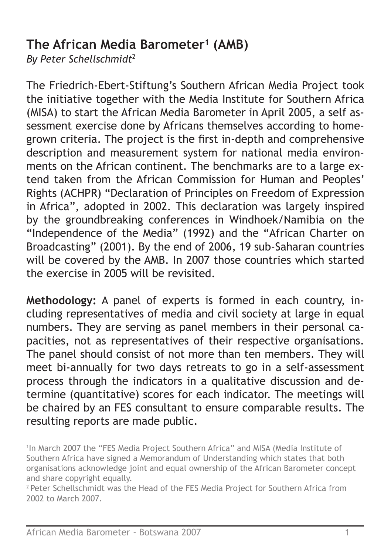# **The African Media Barometer1 (AMB)**

*By Peter Schellschmidt*<sup>2</sup>

The Friedrich-Ebert-Stiftung's Southern African Media Project took the initiative together with the Media Institute for Southern Africa (MISA) to start the African Media Barometer in April 2005, a self assessment exercise done by Africans themselves according to homegrown criteria. The project is the first in-depth and comprehensive description and measurement system for national media environments on the African continent. The benchmarks are to a large extend taken from the African Commission for Human and Peoples' Rights (ACHPR) "Declaration of Principles on Freedom of Expression in Africa", adopted in 2002. This declaration was largely inspired by the groundbreaking conferences in Windhoek/Namibia on the "Independence of the Media" (1992) and the "African Charter on Broadcasting" (2001). By the end of 2006, 19 sub-Saharan countries will be covered by the AMB. In 2007 those countries which started the exercise in 2005 will be revisited.

**Methodology:** A panel of experts is formed in each country, including representatives of media and civil society at large in equal numbers. They are serving as panel members in their personal capacities, not as representatives of their respective organisations. The panel should consist of not more than ten members. They will meet bi-annually for two days retreats to go in a self-assessment process through the indicators in a qualitative discussion and determine (quantitative) scores for each indicator. The meetings will be chaired by an FES consultant to ensure comparable results. The resulting reports are made public.

1 In March 2007 the "FES Media Project Southern Africa" and MISA (Media Institute of Southern Africa have signed a Memorandum of Understanding which states that both organisations acknowledge joint and equal ownership of the African Barometer concept and share copyright equally.

<sup>2</sup> Peter Schellschmidt was the Head of the FES Media Project for Southern Africa from 2002 to March 2007.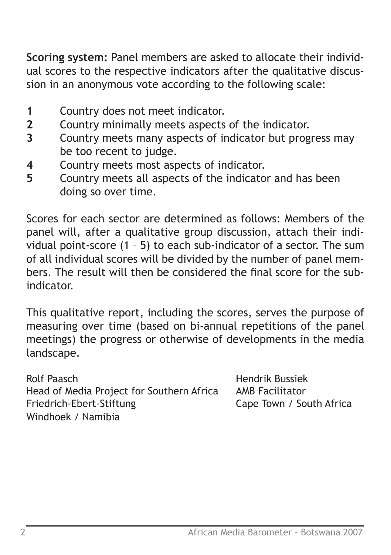**Scoring system:** Panel members are asked to allocate their individual scores to the respective indicators after the qualitative discussion in an anonymous vote according to the following scale:

- **1** Country does not meet indicator.
- **2** Country minimally meets aspects of the indicator.
- **3** Country meets many aspects of indicator but progress may be too recent to judge.
- **4** Country meets most aspects of indicator.
- **5** Country meets all aspects of the indicator and has been doing so over time.

Scores for each sector are determined as follows: Members of the panel will, after a qualitative group discussion, attach their individual point-score (1 – 5) to each sub-indicator of a sector. The sum of all individual scores will be divided by the number of panel members. The result will then be considered the final score for the subindicator.

This qualitative report, including the scores, serves the purpose of measuring over time (based on bi-annual repetitions of the panel meetings) the progress or otherwise of developments in the media landscape.

Rolf Paasch **Hendrik Bussiek** Head of Media Project for Southern Africa AMB Facilitator Friedrich-Ebert-Stiftung Cape Town / South Africa Windhoek / Namibia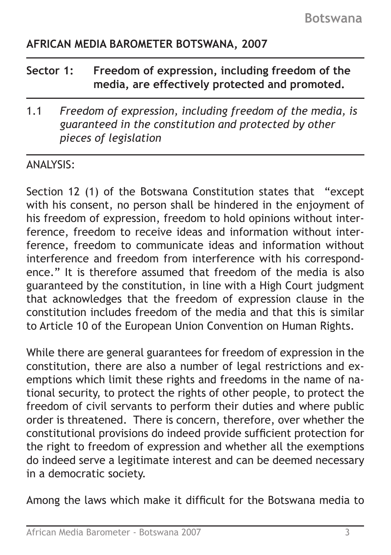# **AFRICAN MEDIA BAROMETER BOTSWANA, 2007**

| Sector 1: | Freedom of expression, including freedom of the |
|-----------|-------------------------------------------------|
|           | media, are effectively protected and promoted.  |

1.1 *Freedom of expression, including freedom of the media, is guaranteed in the constitution and protected by other pieces of legislation* 

### ANALYSIS:

Section 12 (1) of the Botswana Constitution states that "except with his consent, no person shall be hindered in the enjoyment of his freedom of expression, freedom to hold opinions without interference, freedom to receive ideas and information without interference, freedom to communicate ideas and information without interference and freedom from interference with his correspondence." It is therefore assumed that freedom of the media is also guaranteed by the constitution, in line with a High Court judgment that acknowledges that the freedom of expression clause in the constitution includes freedom of the media and that this is similar to Article 10 of the European Union Convention on Human Rights.

While there are general guarantees for freedom of expression in the constitution, there are also a number of legal restrictions and exemptions which limit these rights and freedoms in the name of national security, to protect the rights of other people, to protect the freedom of civil servants to perform their duties and where public order is threatened. There is concern, therefore, over whether the constitutional provisions do indeed provide sufficient protection for the right to freedom of expression and whether all the exemptions do indeed serve a legitimate interest and can be deemed necessary in a democratic society.

Among the laws which make it difficult for the Botswana media to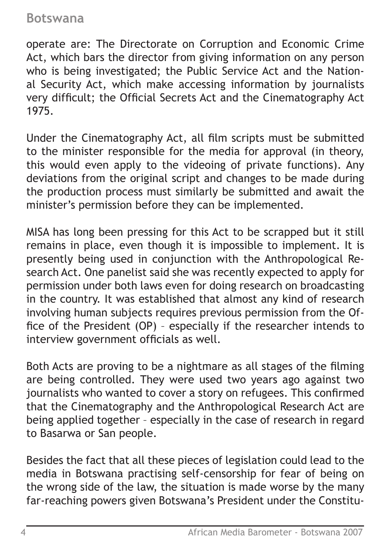operate are: The Directorate on Corruption and Economic Crime Act, which bars the director from giving information on any person who is being investigated; the Public Service Act and the National Security Act, which make accessing information by journalists very difficult; the Official Secrets Act and the Cinematography Act 1975.

Under the Cinematography Act, all film scripts must be submitted to the minister responsible for the media for approval (in theory, this would even apply to the videoing of private functions). Any deviations from the original script and changes to be made during the production process must similarly be submitted and await the minister's permission before they can be implemented.

MISA has long been pressing for this Act to be scrapped but it still remains in place, even though it is impossible to implement. It is presently being used in conjunction with the Anthropological Research Act. One panelist said she was recently expected to apply for permission under both laws even for doing research on broadcasting in the country. It was established that almost any kind of research involving human subjects requires previous permission from the Office of the President (OP) – especially if the researcher intends to interview government officials as well.

Both Acts are proving to be a nightmare as all stages of the filming are being controlled. They were used two years ago against two journalists who wanted to cover a story on refugees. This confirmed that the Cinematography and the Anthropological Research Act are being applied together – especially in the case of research in regard to Basarwa or San people.

Besides the fact that all these pieces of legislation could lead to the media in Botswana practising self-censorship for fear of being on the wrong side of the law, the situation is made worse by the many far-reaching powers given Botswana's President under the Constitu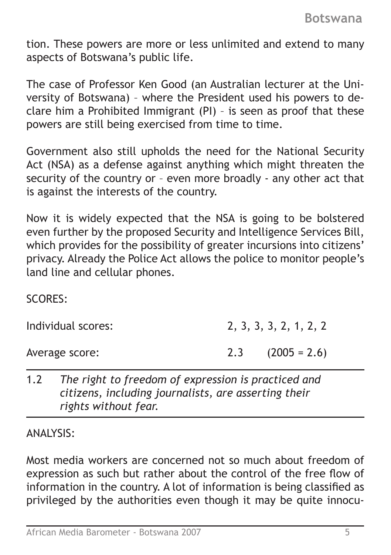tion. These powers are more or less unlimited and extend to many aspects of Botswana's public life.

The case of Professor Ken Good (an Australian lecturer at the University of Botswana) – where the President used his powers to declare him a Prohibited Immigrant (PI) – is seen as proof that these powers are still being exercised from time to time.

Government also still upholds the need for the National Security Act (NSA) as a defense against anything which might threaten the security of the country or – even more broadly - any other act that is against the interests of the country.

Now it is widely expected that the NSA is going to be bolstered even further by the proposed Security and Intelligence Services Bill, which provides for the possibility of greater incursions into citizens' privacy. Already the Police Act allows the police to monitor people's land line and cellular phones.

#### SCORES:

Individual scores: 2, 3, 3, 3, 2, 1, 2, 2

Average score: 2.3 (2005 = 2.6)

1.2 *The right to freedom of expression is practiced and citizens, including journalists, are asserting their rights without fear.*

ANALYSIS:

Most media workers are concerned not so much about freedom of expression as such but rather about the control of the free flow of information in the country. A lot of information is being classified as privileged by the authorities even though it may be quite innocu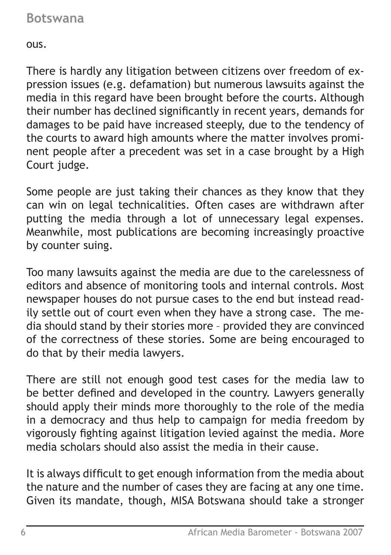ous.

There is hardly any litigation between citizens over freedom of expression issues (e.g. defamation) but numerous lawsuits against the media in this regard have been brought before the courts. Although their number has declined significantly in recent years, demands for damages to be paid have increased steeply, due to the tendency of the courts to award high amounts where the matter involves prominent people after a precedent was set in a case brought by a High Court judge.

Some people are just taking their chances as they know that they can win on legal technicalities. Often cases are withdrawn after putting the media through a lot of unnecessary legal expenses. Meanwhile, most publications are becoming increasingly proactive by counter suing.

Too many lawsuits against the media are due to the carelessness of editors and absence of monitoring tools and internal controls. Most newspaper houses do not pursue cases to the end but instead readily settle out of court even when they have a strong case. The media should stand by their stories more – provided they are convinced of the correctness of these stories. Some are being encouraged to do that by their media lawyers.

There are still not enough good test cases for the media law to be better defined and developed in the country. Lawyers generally should apply their minds more thoroughly to the role of the media in a democracy and thus help to campaign for media freedom by vigorously fighting against litigation levied against the media. More media scholars should also assist the media in their cause.

It is always difficult to get enough information from the media about the nature and the number of cases they are facing at any one time. Given its mandate, though, MISA Botswana should take a stronger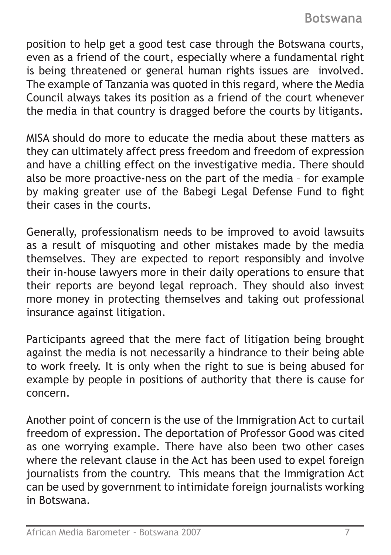position to help get a good test case through the Botswana courts, even as a friend of the court, especially where a fundamental right is being threatened or general human rights issues are involved. The example of Tanzania was quoted in this regard, where the Media Council always takes its position as a friend of the court whenever the media in that country is dragged before the courts by litigants.

MISA should do more to educate the media about these matters as they can ultimately affect press freedom and freedom of expression and have a chilling effect on the investigative media. There should also be more proactive-ness on the part of the media – for example by making greater use of the Babegi Legal Defense Fund to fight their cases in the courts.

Generally, professionalism needs to be improved to avoid lawsuits as a result of misquoting and other mistakes made by the media themselves. They are expected to report responsibly and involve their in-house lawyers more in their daily operations to ensure that their reports are beyond legal reproach. They should also invest more money in protecting themselves and taking out professional insurance against litigation.

Participants agreed that the mere fact of litigation being brought against the media is not necessarily a hindrance to their being able to work freely. It is only when the right to sue is being abused for example by people in positions of authority that there is cause for concern.

Another point of concern is the use of the Immigration Act to curtail freedom of expression. The deportation of Professor Good was cited as one worrying example. There have also been two other cases where the relevant clause in the Act has been used to expel foreign journalists from the country. This means that the Immigration Act can be used by government to intimidate foreign journalists working in Botswana.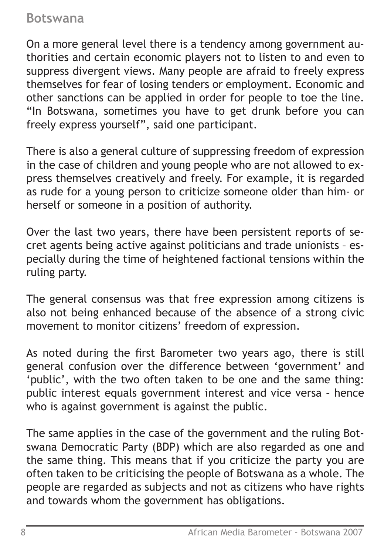On a more general level there is a tendency among government authorities and certain economic players not to listen to and even to suppress divergent views. Many people are afraid to freely express themselves for fear of losing tenders or employment. Economic and other sanctions can be applied in order for people to toe the line. "In Botswana, sometimes you have to get drunk before you can freely express yourself", said one participant.

There is also a general culture of suppressing freedom of expression in the case of children and young people who are not allowed to express themselves creatively and freely. For example, it is regarded as rude for a young person to criticize someone older than him- or herself or someone in a position of authority.

Over the last two years, there have been persistent reports of secret agents being active against politicians and trade unionists – especially during the time of heightened factional tensions within the ruling party.

The general consensus was that free expression among citizens is also not being enhanced because of the absence of a strong civic movement to monitor citizens' freedom of expression.

As noted during the first Barometer two years ago, there is still general confusion over the difference between 'government' and 'public', with the two often taken to be one and the same thing: public interest equals government interest and vice versa – hence who is against government is against the public.

The same applies in the case of the government and the ruling Botswana Democratic Party (BDP) which are also regarded as one and the same thing. This means that if you criticize the party you are often taken to be criticising the people of Botswana as a whole. The people are regarded as subjects and not as citizens who have rights and towards whom the government has obligations.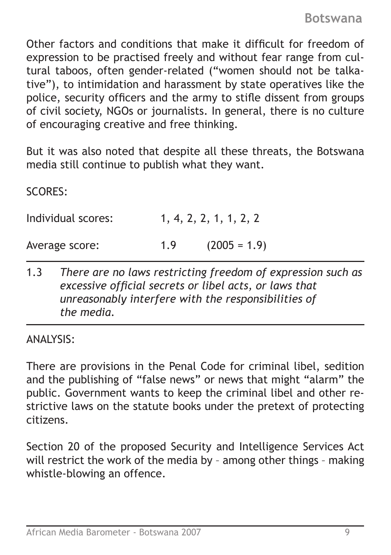Other factors and conditions that make it difficult for freedom of expression to be practised freely and without fear range from cultural taboos, often gender-related ("women should not be talkative"), to intimidation and harassment by state operatives like the police, security officers and the army to stifle dissent from groups of civil society, NGOs or journalists. In general, there is no culture of encouraging creative and free thinking.

But it was also noted that despite all these threats, the Botswana media still continue to publish what they want.

SCORES:

| Individual scores: |     | 1, 4, 2, 2, 1, 1, 2, 2 |
|--------------------|-----|------------------------|
| Average score:     | 1.9 | $(2005 = 1.9)$         |

1.3 *There are no laws restricting freedom of expression such as excessive official secrets or libel acts, or laws that unreasonably interfere with the responsibilities of the media.*

ANALYSIS:

There are provisions in the Penal Code for criminal libel, sedition and the publishing of "false news" or news that might "alarm" the public. Government wants to keep the criminal libel and other restrictive laws on the statute books under the pretext of protecting citizens.

Section 20 of the proposed Security and Intelligence Services Act will restrict the work of the media by – among other things – making whistle-blowing an offence.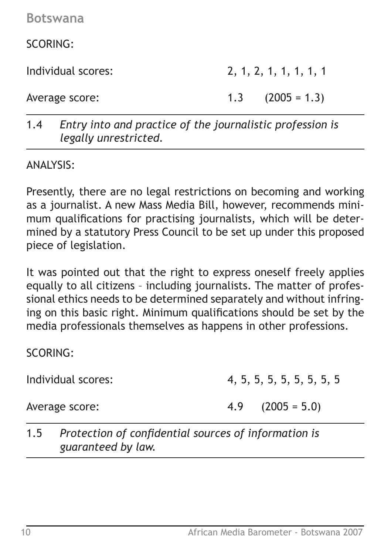SCORING:

Individual scores: 2, 1, 2, 1, 1, 1, 1, 1

Average score: 1.3 (2005 = 1.3)

1.4 *Entry into and practice of the journalistic profession is legally unrestricted.*

ANALYSIS:

Presently, there are no legal restrictions on becoming and working as a journalist. A new Mass Media Bill, however, recommends minimum qualifications for practising journalists, which will be determined by a statutory Press Council to be set up under this proposed piece of legislation.

It was pointed out that the right to express oneself freely applies equally to all citizens – including journalists. The matter of professional ethics needs to be determined separately and without infringing on this basic right. Minimum qualifications should be set by the media professionals themselves as happens in other professions.

SCORING:

Individual scores: 4, 5, 5, 5, 5, 5, 5, 5, 5, 5

Average score: 4.9 (2005 = 5.0)

1.5 *Protection of confidential sources of information is guaranteed by law.*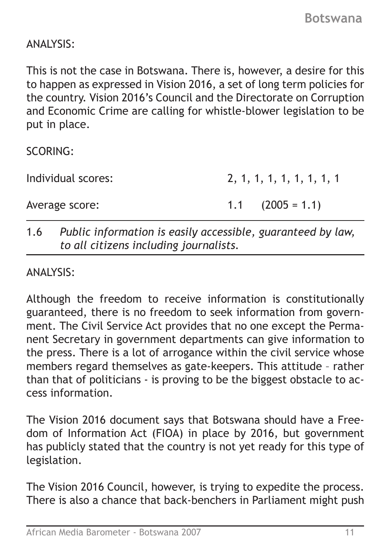# ANALYSIS:

This is not the case in Botswana. There is, however, a desire for this to happen as expressed in Vision 2016, a set of long term policies for the country. Vision 2016's Council and the Directorate on Corruption and Economic Crime are calling for whistle-blower legislation to be put in place.

SCORING:

Individual scores: 2, 1, 1, 1, 1, 1, 1, 1, 1, 1

Average score: 1.1 (2005 = 1.1)

# 1.6 *Public information is easily accessible, guaranteed by law, to all citizens including journalists.*

#### ANALYSIS:

Although the freedom to receive information is constitutionally guaranteed, there is no freedom to seek information from government. The Civil Service Act provides that no one except the Permanent Secretary in government departments can give information to the press. There is a lot of arrogance within the civil service whose members regard themselves as gate-keepers. This attitude – rather than that of politicians - is proving to be the biggest obstacle to access information.

The Vision 2016 document says that Botswana should have a Freedom of Information Act (FIOA) in place by 2016, but government has publicly stated that the country is not yet ready for this type of legislation.

The Vision 2016 Council, however, is trying to expedite the process. There is also a chance that back-benchers in Parliament might push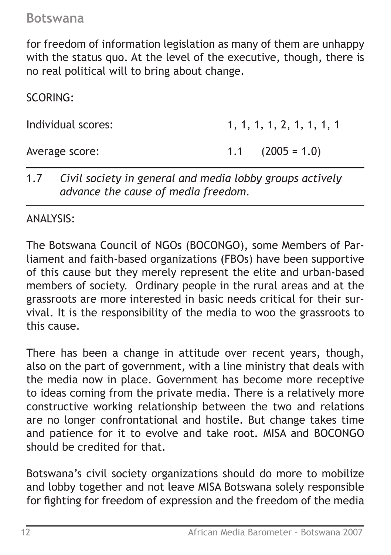for freedom of information legislation as many of them are unhappy with the status quo. At the level of the executive, though, there is no real political will to bring about change.

SCORING:

Individual scores: 1, 1, 1, 1, 1, 2, 1, 1, 1, 1, 1

Average score: 1.1 (2005 = 1.0)

1.7 *Civil society in general and media lobby groups actively advance the cause of media freedom.*

ANALYSIS:

The Botswana Council of NGOs (BOCONGO), some Members of Parliament and faith-based organizations (FBOs) have been supportive of this cause but they merely represent the elite and urban-based members of society. Ordinary people in the rural areas and at the grassroots are more interested in basic needs critical for their survival. It is the responsibility of the media to woo the grassroots to this cause.

There has been a change in attitude over recent years, though, also on the part of government, with a line ministry that deals with the media now in place. Government has become more receptive to ideas coming from the private media. There is a relatively more constructive working relationship between the two and relations are no longer confrontational and hostile. But change takes time and patience for it to evolve and take root. MISA and BOCONGO should be credited for that.

Botswana's civil society organizations should do more to mobilize and lobby together and not leave MISA Botswana solely responsible for fighting for freedom of expression and the freedom of the media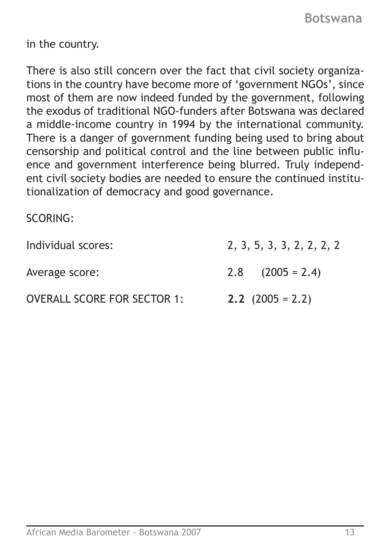in the country.

There is also still concern over the fact that civil society organizations in the country have become more of 'government NGOs', since most of them are now indeed funded by the government, following the exodus of traditional NGO-funders after Botswana was declared a middle-income country in 1994 by the international community. There is a danger of government funding being used to bring about censorship and political control and the line between public influence and government interference being blurred. Truly independent civil society bodies are needed to ensure the continued institutionalization of democracy and good governance.

SCORING:

| Individual scores:                 | 2, 3, 5, 3, 3, 2, 2, 2, 2 |
|------------------------------------|---------------------------|
| Average score:                     | $2.8$ $(2005 = 2.4)$      |
| <b>OVERALL SCORE FOR SECTOR 1:</b> | <b>2.2</b> $(2005 = 2.2)$ |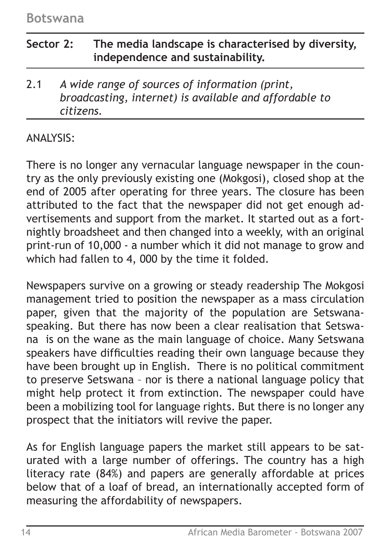# **Sector 2: The media landscape is characterised by diversity, independence and sustainability.**

2.1 *A wide range of sources of information (print, broadcasting, internet) is available and affordable to citizens.*

# ANALYSIS:

There is no longer any vernacular language newspaper in the country as the only previously existing one (Mokgosi), closed shop at the end of 2005 after operating for three years. The closure has been attributed to the fact that the newspaper did not get enough advertisements and support from the market. It started out as a fortnightly broadsheet and then changed into a weekly, with an original print-run of 10,000 - a number which it did not manage to grow and which had fallen to 4, 000 by the time it folded.

Newspapers survive on a growing or steady readership The Mokgosi management tried to position the newspaper as a mass circulation paper, given that the majority of the population are Setswanaspeaking. But there has now been a clear realisation that Setswana is on the wane as the main language of choice. Many Setswana speakers have difficulties reading their own language because they have been brought up in English. There is no political commitment to preserve Setswana – nor is there a national language policy that might help protect it from extinction. The newspaper could have been a mobilizing tool for language rights. But there is no longer any prospect that the initiators will revive the paper.

As for English language papers the market still appears to be saturated with a large number of offerings. The country has a high literacy rate (84%) and papers are generally affordable at prices below that of a loaf of bread, an internationally accepted form of measuring the affordability of newspapers.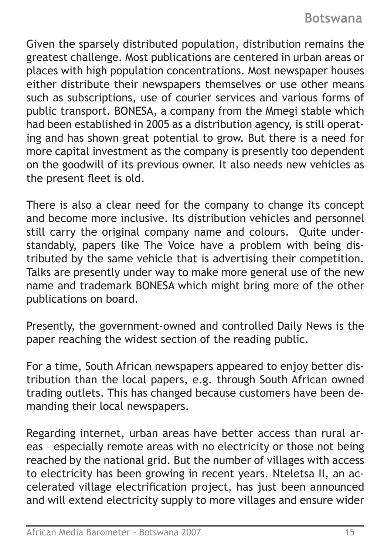Given the sparsely distributed population, distribution remains the greatest challenge. Most publications are centered in urban areas or places with high population concentrations. Most newspaper houses either distribute their newspapers themselves or use other means such as subscriptions, use of courier services and various forms of public transport. BONESA, a company from the Mmegi stable which had been established in 2005 as a distribution agency, is still operating and has shown great potential to grow. But there is a need for more capital investment as the company is presently too dependent on the goodwill of its previous owner. It also needs new vehicles as the present fleet is old.

There is also a clear need for the company to change its concept and become more inclusive. Its distribution vehicles and personnel still carry the original company name and colours. Quite understandably, papers like The Voice have a problem with being distributed by the same vehicle that is advertising their competition. Talks are presently under way to make more general use of the new name and trademark BONESA which might bring more of the other publications on board.

Presently, the government-owned and controlled Daily News is the paper reaching the widest section of the reading public.

For a time, South African newspapers appeared to enjoy better distribution than the local papers, e.g. through South African owned trading outlets. This has changed because customers have been demanding their local newspapers.

Regarding internet, urban areas have better access than rural areas – especially remote areas with no electricity or those not being reached by the national grid. But the number of villages with access to electricity has been growing in recent years. Nteletsa II, an accelerated village electrification project, has just been announced and will extend electricity supply to more villages and ensure wider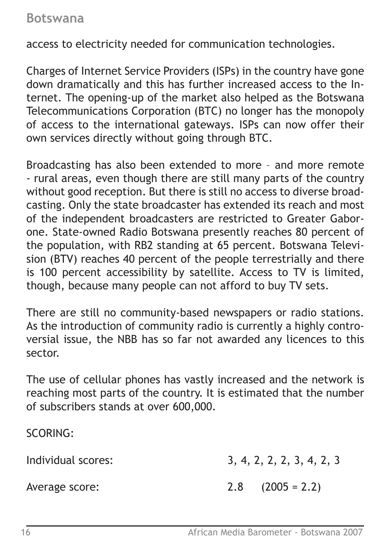access to electricity needed for communication technologies.

Charges of Internet Service Providers (ISPs) in the country have gone down dramatically and this has further increased access to the Internet. The opening-up of the market also helped as the Botswana Telecommunications Corporation (BTC) no longer has the monopoly of access to the international gateways. ISPs can now offer their own services directly without going through BTC.

Broadcasting has also been extended to more – and more remote - rural areas, even though there are still many parts of the country without good reception. But there is still no access to diverse broadcasting. Only the state broadcaster has extended its reach and most of the independent broadcasters are restricted to Greater Gaborone. State-owned Radio Botswana presently reaches 80 percent of the population, with RB2 standing at 65 percent. Botswana Television (BTV) reaches 40 percent of the people terrestrially and there is 100 percent accessibility by satellite. Access to TV is limited, though, because many people can not afford to buy TV sets.

There are still no community-based newspapers or radio stations. As the introduction of community radio is currently a highly controversial issue, the NBB has so far not awarded any licences to this sector.

The use of cellular phones has vastly increased and the network is reaching most parts of the country. It is estimated that the number of subscribers stands at over 600,000.

SCORING:

| Individual scores: | 3, 4, 2, 2, 2, 3, 4, 2, 3 |  |  |  |  |
|--------------------|---------------------------|--|--|--|--|
| Average score:     | $2.8$ $(2005 = 2.2)$      |  |  |  |  |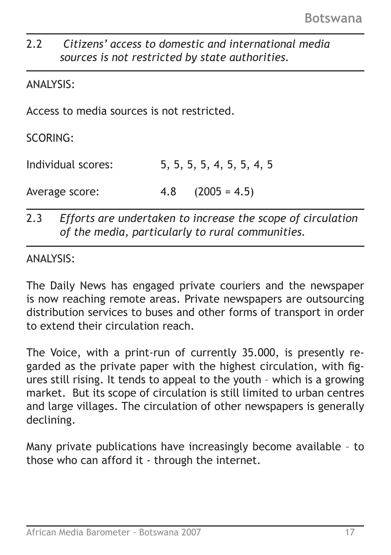# 2.2 *Citizens' access to domestic and international media sources is not restricted by state authorities.*

### ANALYSIS:

Access to media sources is not restricted.

SCORING:

Individual scores: 5, 5, 5, 5, 4, 5, 5, 4, 5 Average score: 4.8 (2005 = 4.5)

2.3 *Efforts are undertaken to increase the scope of circulation of the media, particularly to rural communities.*

ANALYSIS:

The Daily News has engaged private couriers and the newspaper is now reaching remote areas. Private newspapers are outsourcing distribution services to buses and other forms of transport in order to extend their circulation reach.

The Voice, with a print-run of currently 35.000, is presently regarded as the private paper with the highest circulation, with figures still rising. It tends to appeal to the youth – which is a growing market. But its scope of circulation is still limited to urban centres and large villages. The circulation of other newspapers is generally declining.

Many private publications have increasingly become available – to those who can afford it - through the internet.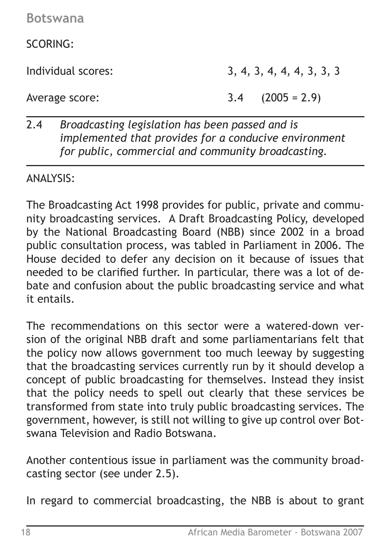SCORING:

Individual scores: 3, 4, 3, 4, 4, 4, 3, 3, 3

Average score: 3.4 (2005 = 2.9)

## 2.4 *Broadcasting legislation has been passed and is implemented that provides for a conducive environment for public, commercial and community broadcasting.*

-ANALYSIS:

The Broadcasting Act 1998 provides for public, private and community broadcasting services. A Draft Broadcasting Policy, developed by the National Broadcasting Board (NBB) since 2002 in a broad public consultation process, was tabled in Parliament in 2006. The House decided to defer any decision on it because of issues that needed to be clarified further. In particular, there was a lot of debate and confusion about the public broadcasting service and what it entails.

The recommendations on this sector were a watered-down version of the original NBB draft and some parliamentarians felt that the policy now allows government too much leeway by suggesting that the broadcasting services currently run by it should develop a concept of public broadcasting for themselves. Instead they insist that the policy needs to spell out clearly that these services be transformed from state into truly public broadcasting services. The government, however, is still not willing to give up control over Botswana Television and Radio Botswana.

Another contentious issue in parliament was the community broadcasting sector (see under 2.5).

In regard to commercial broadcasting, the NBB is about to grant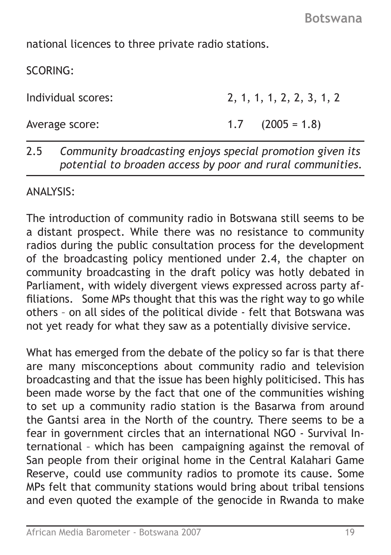national licences to three private radio stations.

SCORING:

Individual scores: 2, 1, 1, 1, 2, 2, 3, 1, 2

Average score: 1.7 (2005 = 1.8)

### 2.5 *Community broadcasting enjoys special promotion given its potential to broaden access by poor and rural communities.*

ANALYSIS:

The introduction of community radio in Botswana still seems to be a distant prospect. While there was no resistance to community radios during the public consultation process for the development of the broadcasting policy mentioned under 2.4, the chapter on community broadcasting in the draft policy was hotly debated in Parliament, with widely divergent views expressed across party affiliations. Some MPs thought that this was the right way to go while others – on all sides of the political divide - felt that Botswana was not yet ready for what they saw as a potentially divisive service.

What has emerged from the debate of the policy so far is that there are many misconceptions about community radio and television broadcasting and that the issue has been highly politicised. This has been made worse by the fact that one of the communities wishing to set up a community radio station is the Basarwa from around the Gantsi area in the North of the country. There seems to be a fear in government circles that an international NGO - Survival International – which has been campaigning against the removal of San people from their original home in the Central Kalahari Game Reserve, could use community radios to promote its cause. Some MPs felt that community stations would bring about tribal tensions and even quoted the example of the genocide in Rwanda to make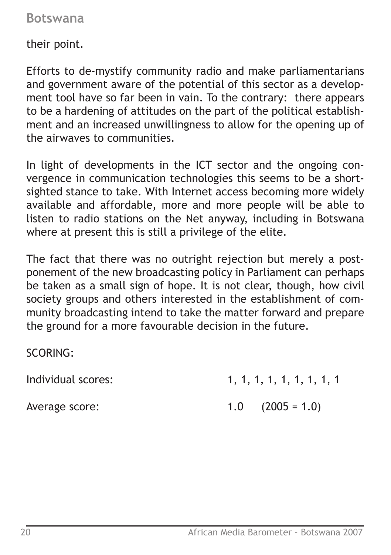their point.

Efforts to de-mystify community radio and make parliamentarians and government aware of the potential of this sector as a development tool have so far been in vain. To the contrary: there appears to be a hardening of attitudes on the part of the political establishment and an increased unwillingness to allow for the opening up of the airwaves to communities.

In light of developments in the ICT sector and the ongoing convergence in communication technologies this seems to be a shortsighted stance to take. With Internet access becoming more widely available and affordable, more and more people will be able to listen to radio stations on the Net anyway, including in Botswana where at present this is still a privilege of the elite.

The fact that there was no outright rejection but merely a postponement of the new broadcasting policy in Parliament can perhaps be taken as a small sign of hope. It is not clear, though, how civil society groups and others interested in the establishment of community broadcasting intend to take the matter forward and prepare the ground for a more favourable decision in the future.

SCORING:

Individual scores: 1, 1, 1, 1, 1, 1, 1, 1, 1, 1, 1

Average score: 1.0 (2005 = 1.0)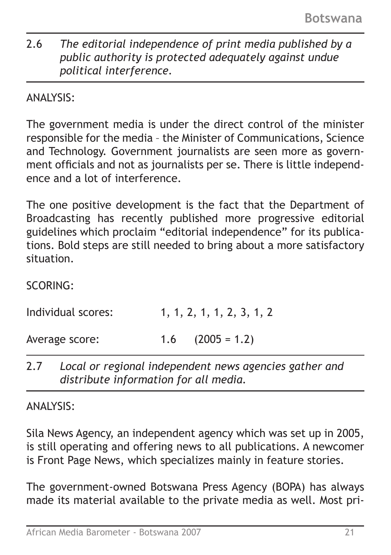# 2.6 *The editorial independence of print media published by a public authority is protected adequately against undue political interference.*

ANALYSIS:

The government media is under the direct control of the minister responsible for the media – the Minister of Communications, Science and Technology. Government journalists are seen more as government officials and not as journalists per se. There is little independence and a lot of interference.

The one positive development is the fact that the Department of Broadcasting has recently published more progressive editorial guidelines which proclaim "editorial independence" for its publications. Bold steps are still needed to bring about a more satisfactory situation.

SCORING:

| Individual scores: | 1, 1, 2, 1, 1, 2, 3, 1, 2 |
|--------------------|---------------------------|
| Average score:     | $1.6$ $(2005 = 1.2)$      |

2.7 *Local or regional independent news agencies gather and distribute information for all media.*

ANALYSIS:

Sila News Agency, an independent agency which was set up in 2005, is still operating and offering news to all publications. A newcomer is Front Page News, which specializes mainly in feature stories.

The government-owned Botswana Press Agency (BOPA) has always made its material available to the private media as well. Most pri-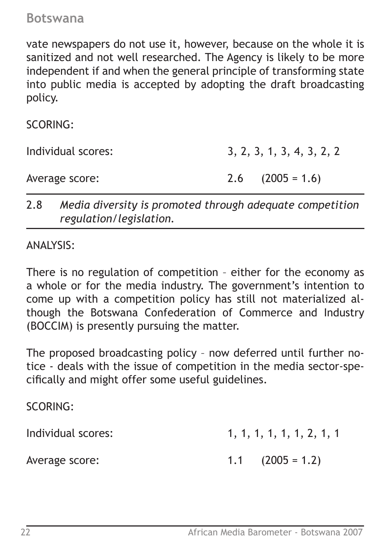vate newspapers do not use it, however, because on the whole it is sanitized and not well researched. The Agency is likely to be more independent if and when the general principle of transforming state into public media is accepted by adopting the draft broadcasting policy.

SCORING:

Individual scores: 3, 2, 3, 1, 3, 4, 3, 2, 2

Average score: 2.6 (2005 = 1.6)

2.8 *Media diversity is promoted through adequate competition regulation/legislation.*

ANALYSIS:

There is no regulation of competition – either for the economy as a whole or for the media industry. The government's intention to come up with a competition policy has still not materialized although the Botswana Confederation of Commerce and Industry (BOCCIM) is presently pursuing the matter.

The proposed broadcasting policy – now deferred until further notice - deals with the issue of competition in the media sector-specifically and might offer some useful guidelines.

SCORING:

| Individual scores: | 1, 1, 1, 1, 1, 1, 2, 1, 1 |  |  |  |  |
|--------------------|---------------------------|--|--|--|--|
|                    |                           |  |  |  |  |

Average score: 1.1 (2005 = 1.2)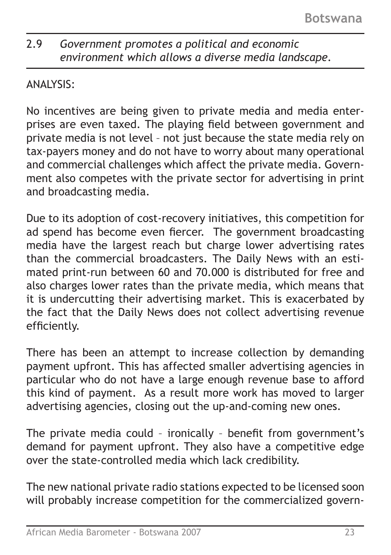# 2.9 *Government promotes a political and economic environment which allows a diverse media landscape.*

# ANALYSIS:

No incentives are being given to private media and media enterprises are even taxed. The playing field between government and private media is not level – not just because the state media rely on tax-payers money and do not have to worry about many operational and commercial challenges which affect the private media. Government also competes with the private sector for advertising in print and broadcasting media.

Due to its adoption of cost-recovery initiatives, this competition for ad spend has become even fiercer. The government broadcasting media have the largest reach but charge lower advertising rates than the commercial broadcasters. The Daily News with an estimated print-run between 60 and 70.000 is distributed for free and also charges lower rates than the private media, which means that it is undercutting their advertising market. This is exacerbated by the fact that the Daily News does not collect advertising revenue efficiently.

There has been an attempt to increase collection by demanding payment upfront. This has affected smaller advertising agencies in particular who do not have a large enough revenue base to afford this kind of payment. As a result more work has moved to larger advertising agencies, closing out the up-and-coming new ones.

The private media could – ironically – benefit from government's demand for payment upfront. They also have a competitive edge over the state-controlled media which lack credibility.

The new national private radio stations expected to be licensed soon will probably increase competition for the commercialized govern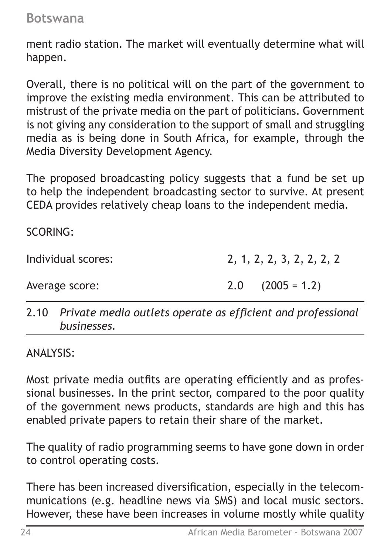ment radio station. The market will eventually determine what will happen.

Overall, there is no political will on the part of the government to improve the existing media environment. This can be attributed to mistrust of the private media on the part of politicians. Government is not giving any consideration to the support of small and struggling media as is being done in South Africa, for example, through the Media Diversity Development Agency.

The proposed broadcasting policy suggests that a fund be set up to help the independent broadcasting sector to survive. At present CEDA provides relatively cheap loans to the independent media.

SCORING:

Individual scores: 2, 1, 2, 2, 3, 2, 2, 2, 2

Average score: 2.0 (2005 = 1.2)

2.10 *Private media outlets operate as efficient and professional businesses.*

ANALYSIS:

Most private media outfits are operating efficiently and as professional businesses. In the print sector, compared to the poor quality of the government news products, standards are high and this has enabled private papers to retain their share of the market.

The quality of radio programming seems to have gone down in order to control operating costs.

There has been increased diversification, especially in the telecommunications (e.g. headline news via SMS) and local music sectors. However, these have been increases in volume mostly while quality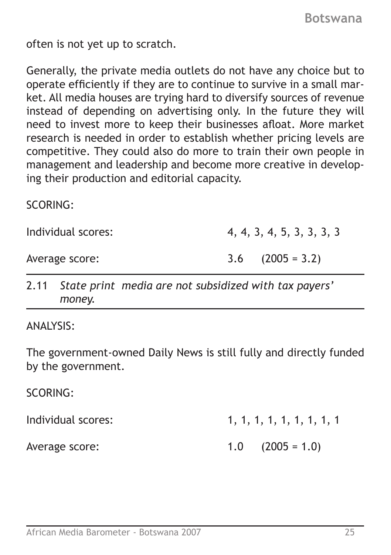often is not yet up to scratch.

Generally, the private media outlets do not have any choice but to operate efficiently if they are to continue to survive in a small market. All media houses are trying hard to diversify sources of revenue instead of depending on advertising only. In the future they will need to invest more to keep their businesses afloat. More market research is needed in order to establish whether pricing levels are competitive. They could also do more to train their own people in management and leadership and become more creative in developing their production and editorial capacity.

SCORING:

Individual scores: 4, 4, 3, 4, 5, 3, 3, 3, 3

Average score: 3.6 (2005 = 3.2)

2.11 *State print media are not subsidized with tax payers' money.*

ANALYSIS:

The government-owned Daily News is still fully and directly funded by the government.

SCORING:

| Individual scores: | 1, 1, 1, 1, 1, 1, 1, 1, 1 |  |  |  |  |
|--------------------|---------------------------|--|--|--|--|
| Average score:     | $1.0$ $(2005 = 1.0)$      |  |  |  |  |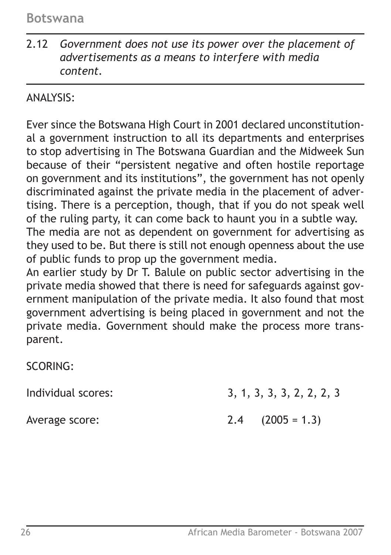2.12 *Government does not use its power over the placement of advertisements as a means to interfere with media content.*

# ANALYSIS:

Ever since the Botswana High Court in 2001 declared unconstitutional a government instruction to all its departments and enterprises to stop advertising in The Botswana Guardian and the Midweek Sun because of their "persistent negative and often hostile reportage on government and its institutions", the government has not openly discriminated against the private media in the placement of advertising. There is a perception, though, that if you do not speak well of the ruling party, it can come back to haunt you in a subtle way. The media are not as dependent on government for advertising as they used to be. But there is still not enough openness about the use of public funds to prop up the government media.

An earlier study by Dr T. Balule on public sector advertising in the private media showed that there is need for safeguards against government manipulation of the private media. It also found that most government advertising is being placed in government and not the private media. Government should make the process more transparent.

SCORING:

Individual scores: 3, 1, 3, 3, 3, 2, 2, 2, 3

Average score: 2.4 (2005 = 1.3)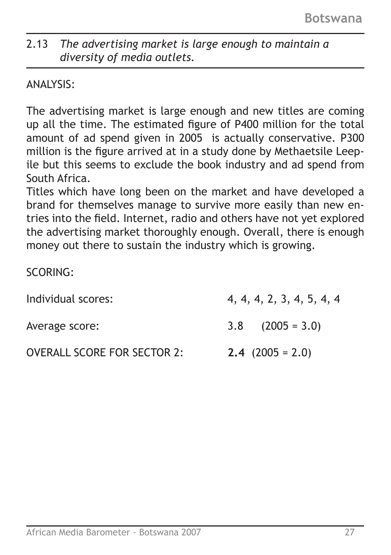# 2.13 *The advertising market is large enough to maintain a diversity of media outlets.*

### ANALYSIS:

The advertising market is large enough and new titles are coming up all the time. The estimated figure of P400 million for the total amount of ad spend given in 2005 is actually conservative. P300 million is the figure arrived at in a study done by Methaetsile Leepile but this seems to exclude the book industry and ad spend from South Africa.

Titles which have long been on the market and have developed a brand for themselves manage to survive more easily than new entries into the field. Internet, radio and others have not yet explored the advertising market thoroughly enough. Overall, there is enough money out there to sustain the industry which is growing.

SCORING:

| Individual scores:                 | 4, 4, 4, 2, 3, 4, 5, 4, 4 |
|------------------------------------|---------------------------|
| Average score:                     | $3.8$ $(2005 = 3.0)$      |
| <b>OVERALL SCORE FOR SECTOR 2:</b> | $2.4$ (2005 = 2.0)        |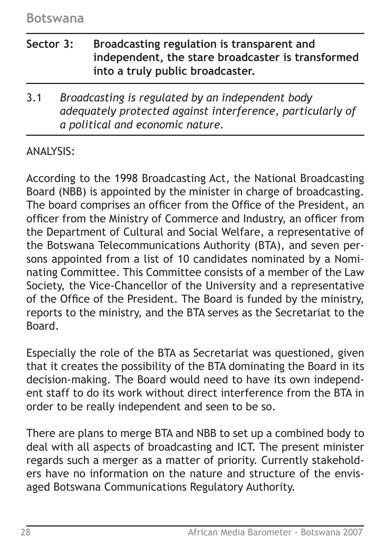- **Sector 3: Broadcasting regulation is transparent and independent, the stare broadcaster is transformed into a truly public broadcaster.**
- 3.1 *Broadcasting is regulated by an independent body adequately protected against interference, particularly of a political and economic nature.*

### ANALYSIS:

According to the 1998 Broadcasting Act, the National Broadcasting Board (NBB) is appointed by the minister in charge of broadcasting. The board comprises an officer from the Office of the President, an officer from the Ministry of Commerce and Industry, an officer from the Department of Cultural and Social Welfare, a representative of the Botswana Telecommunications Authority (BTA), and seven persons appointed from a list of 10 candidates nominated by a Nominating Committee. This Committee consists of a member of the Law Society, the Vice-Chancellor of the University and a representative of the Office of the President. The Board is funded by the ministry, reports to the ministry, and the BTA serves as the Secretariat to the Board.

Especially the role of the BTA as Secretariat was questioned, given that it creates the possibility of the BTA dominating the Board in its decision-making. The Board would need to have its own independent staff to do its work without direct interference from the BTA in order to be really independent and seen to be so.

There are plans to merge BTA and NBB to set up a combined body to deal with all aspects of broadcasting and ICT. The present minister regards such a merger as a matter of priority. Currently stakeholders have no information on the nature and structure of the envisaged Botswana Communications Regulatory Authority.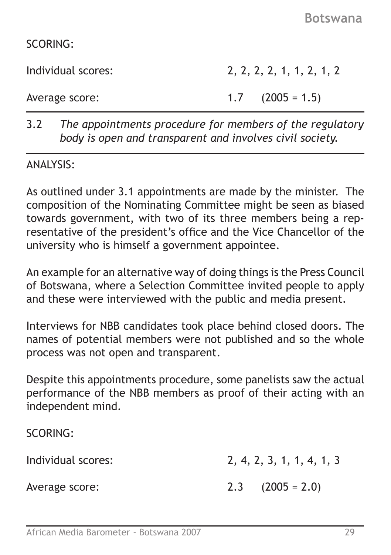SCORING:

Individual scores: 2, 2, 2, 2, 1, 1, 2, 1, 2

Average score: 1.7 (2005 = 1.5)

3.2 *The appointments procedure for members of the regulatory body is open and transparent and involves civil society.*

#### ANALYSIS:

As outlined under 3.1 appointments are made by the minister. The composition of the Nominating Committee might be seen as biased towards government, with two of its three members being a representative of the president's office and the Vice Chancellor of the university who is himself a government appointee.

An example for an alternative way of doing things is the Press Council of Botswana, where a Selection Committee invited people to apply and these were interviewed with the public and media present.

Interviews for NBB candidates took place behind closed doors. The names of potential members were not published and so the whole process was not open and transparent.

Despite this appointments procedure, some panelists saw the actual performance of the NBB members as proof of their acting with an independent mind.

SCORING:

Individual scores: 2, 4, 2, 3, 1, 1, 4, 1, 3

Average score: 2.3 (2005 = 2.0)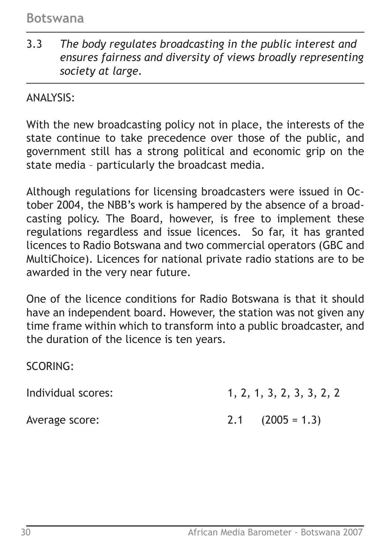3.3 *The body regulates broadcasting in the public interest and ensures fairness and diversity of views broadly representing society at large.*

ANALYSIS:

With the new broadcasting policy not in place, the interests of the state continue to take precedence over those of the public, and government still has a strong political and economic grip on the state media – particularly the broadcast media.

Although regulations for licensing broadcasters were issued in October 2004, the NBB's work is hampered by the absence of a broadcasting policy. The Board, however, is free to implement these regulations regardless and issue licences. So far, it has granted licences to Radio Botswana and two commercial operators (GBC and MultiChoice). Licences for national private radio stations are to be awarded in the very near future.

One of the licence conditions for Radio Botswana is that it should have an independent board. However, the station was not given any time frame within which to transform into a public broadcaster, and the duration of the licence is ten years.

SCORING:

Individual scores: 1, 2, 1, 3, 2, 3, 3, 2, 2

Average score: 2.1 (2005 = 1.3)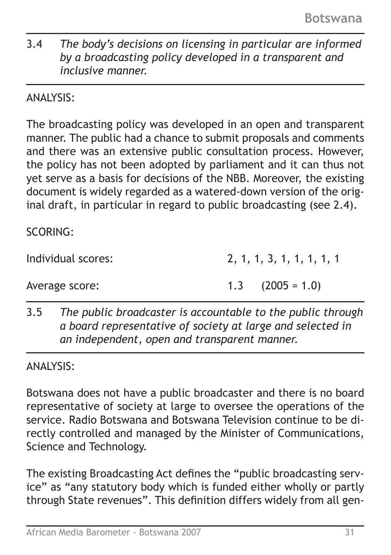3.4 *The body's decisions on licensing in particular are informed by a broadcasting policy developed in a transparent and inclusive manner.*

ANALYSIS:

The broadcasting policy was developed in an open and transparent manner. The public had a chance to submit proposals and comments and there was an extensive public consultation process. However, the policy has not been adopted by parliament and it can thus not yet serve as a basis for decisions of the NBB. Moreover, the existing document is widely regarded as a watered-down version of the original draft, in particular in regard to public broadcasting (see 2.4).

SCORING:

Individual scores: 2, 1, 1, 3, 1, 1, 1, 1, 1

Average score: 1.3 (2005 = 1.0)

3.5 *The public broadcaster is accountable to the public through a board representative of society at large and selected in an independent, open and transparent manner.*

ANALYSIS:

Botswana does not have a public broadcaster and there is no board representative of society at large to oversee the operations of the service. Radio Botswana and Botswana Television continue to be directly controlled and managed by the Minister of Communications, Science and Technology.

The existing Broadcasting Act defines the "public broadcasting service" as "any statutory body which is funded either wholly or partly through State revenues". This definition differs widely from all gen-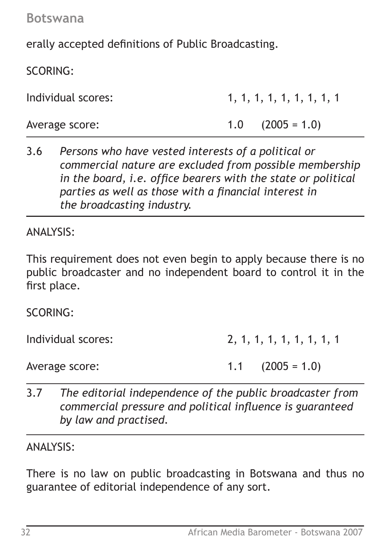erally accepted definitions of Public Broadcasting.

SCORING:

| Individual scores: | 1, 1, 1, 1, 1, 1, 1, 1, 1 |  |  |  |  |
|--------------------|---------------------------|--|--|--|--|
| Average score:     | $1.0$ $(2005 = 1.0)$      |  |  |  |  |

3.6 *Persons who have vested interests of a political or commercial nature are excluded from possible membership in the board, i.e. office bearers with the state or political parties as well as those with a financial interest in the broadcasting industry.*

ANALYSIS:

This requirement does not even begin to apply because there is no public broadcaster and no independent board to control it in the first place.

SCORING:

Individual scores: 2, 1, 1, 1, 1, 1, 1, 1, 1, 1

Average score: 1.1 (2005 = 1.0)

3.7 *The editorial independence of the public broadcaster from commercial pressure and political influence is guaranteed by law and practised.*

ANALYSIS:

There is no law on public broadcasting in Botswana and thus no guarantee of editorial independence of any sort.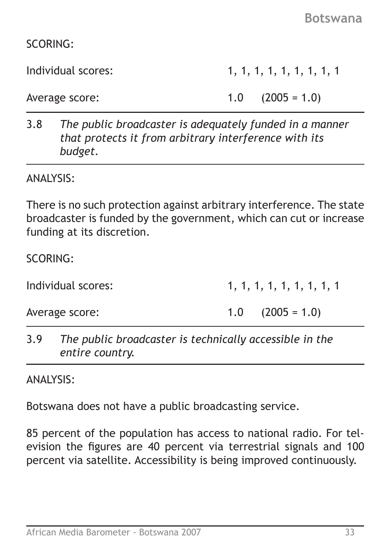SCORING:

Individual scores: 1, 1, 1, 1, 1, 1, 1, 1, 1

Average score: 1.0 (2005 = 1.0)

3.8 *The public broadcaster is adequately funded in a manner that protects it from arbitrary interference with its budget.*

ANALYSIS:

There is no such protection against arbitrary interference. The state broadcaster is funded by the government, which can cut or increase funding at its discretion.

SCORING:

Individual scores: 1, 1, 1, 1, 1, 1, 1, 1, 1 Average score: 1.0 (2005 = 1.0)

3.9 *The public broadcaster is technically accessible in the entire country.*

ANALYSIS:

Botswana does not have a public broadcasting service.

85 percent of the population has access to national radio. For television the figures are 40 percent via terrestrial signals and 100 percent via satellite. Accessibility is being improved continuously.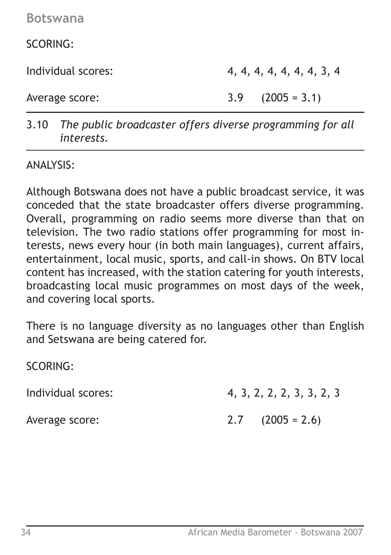SCORING:

Individual scores: 4, 4, 4, 4, 4, 4, 4, 3, 4

Average score: 3.9 (2005 = 3.1)

3.10 *The public broadcaster offers diverse programming for all interests.*

ANALYSIS:

Although Botswana does not have a public broadcast service, it was conceded that the state broadcaster offers diverse programming. Overall, programming on radio seems more diverse than that on television. The two radio stations offer programming for most interests, news every hour (in both main languages), current affairs, entertainment, local music, sports, and call-in shows. On BTV local content has increased, with the station catering for youth interests, broadcasting local music programmes on most days of the week, and covering local sports.

There is no language diversity as no languages other than English and Setswana are being catered for.

SCORING:

Individual scores: 4, 3, 2, 2, 2, 3, 3, 2, 3

Average score: 2.7 (2005 = 2.6)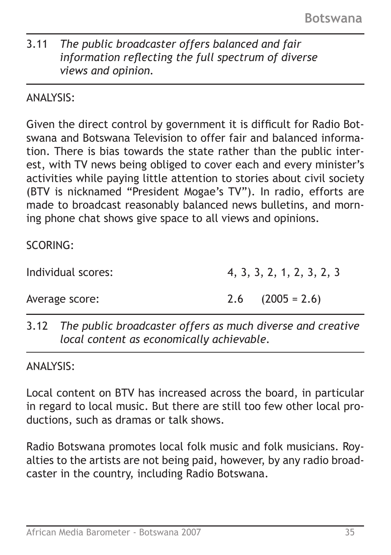# 3.11 *The public broadcaster offers balanced and fair information reflecting the full spectrum of diverse views and opinion.*

# ANALYSIS:

Given the direct control by government it is difficult for Radio Botswana and Botswana Television to offer fair and balanced information. There is bias towards the state rather than the public interest, with TV news being obliged to cover each and every minister's activities while paying little attention to stories about civil society (BTV is nicknamed "President Mogae's TV"). In radio, efforts are made to broadcast reasonably balanced news bulletins, and morning phone chat shows give space to all views and opinions.

# SCORING:

Individual scores: 4, 3, 3, 2, 1, 2, 3, 2, 3

Average score: 2.6 (2005 = 2.6)

3.12 *The public broadcaster offers as much diverse and creative local content as economically achievable.* 

ANALYSIS:

Local content on BTV has increased across the board, in particular in regard to local music. But there are still too few other local productions, such as dramas or talk shows.

Radio Botswana promotes local folk music and folk musicians. Royalties to the artists are not being paid, however, by any radio broadcaster in the country, including Radio Botswana.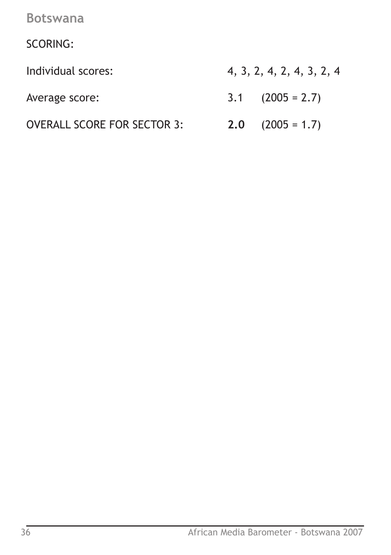SCORING:

Individual scores: 4, 3, 2, 4, 2, 4, 3, 2, 4

OVERALL SCORE FOR SECTOR 3: **2.0** (2005 = 1.7)

- Average score: 3.1 (2005 = 2.7)
	-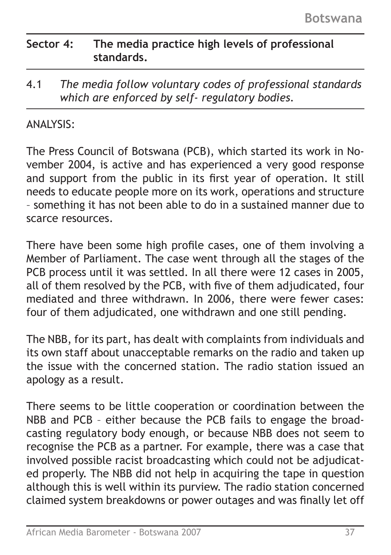# **Sector 4: The media practice high levels of professional standards.**

4.1 *The media follow voluntary codes of professional standards which are enforced by self- regulatory bodies.*

### ANALYSIS:

The Press Council of Botswana (PCB), which started its work in November 2004, is active and has experienced a very good response and support from the public in its first year of operation. It still needs to educate people more on its work, operations and structure – something it has not been able to do in a sustained manner due to scarce resources.

There have been some high profile cases, one of them involving a Member of Parliament. The case went through all the stages of the PCB process until it was settled. In all there were 12 cases in 2005, all of them resolved by the PCB, with five of them adjudicated, four mediated and three withdrawn. In 2006, there were fewer cases: four of them adjudicated, one withdrawn and one still pending.

The NBB, for its part, has dealt with complaints from individuals and its own staff about unacceptable remarks on the radio and taken up the issue with the concerned station. The radio station issued an apology as a result.

There seems to be little cooperation or coordination between the NBB and PCB – either because the PCB fails to engage the broadcasting regulatory body enough, or because NBB does not seem to recognise the PCB as a partner. For example, there was a case that involved possible racist broadcasting which could not be adjudicated properly. The NBB did not help in acquiring the tape in question although this is well within its purview. The radio station concerned claimed system breakdowns or power outages and was finally let off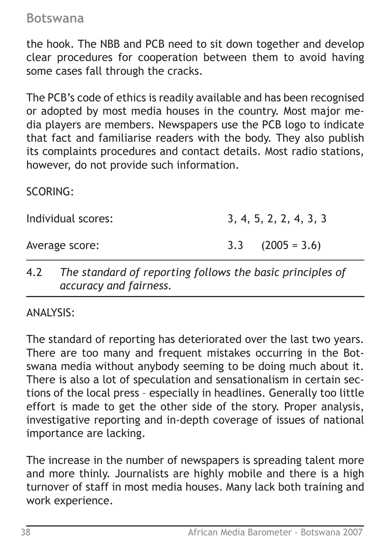the hook. The NBB and PCB need to sit down together and develop clear procedures for cooperation between them to avoid having some cases fall through the cracks.

The PCB's code of ethics is readily available and has been recognised or adopted by most media houses in the country. Most major media players are members. Newspapers use the PCB logo to indicate that fact and familiarise readers with the body. They also publish its complaints procedures and contact details. Most radio stations, however, do not provide such information.

SCORING:

Individual scores: 3, 4, 5, 2, 2, 4, 3, 3

Average score: 3.3 (2005 = 3.6)

4.2 *The standard of reporting follows the basic principles of accuracy and fairness.*

ANALYSIS:

The standard of reporting has deteriorated over the last two years. There are too many and frequent mistakes occurring in the Botswana media without anybody seeming to be doing much about it. There is also a lot of speculation and sensationalism in certain sections of the local press – especially in headlines. Generally too little effort is made to get the other side of the story. Proper analysis, investigative reporting and in-depth coverage of issues of national importance are lacking.

The increase in the number of newspapers is spreading talent more and more thinly. Journalists are highly mobile and there is a high turnover of staff in most media houses. Many lack both training and work experience.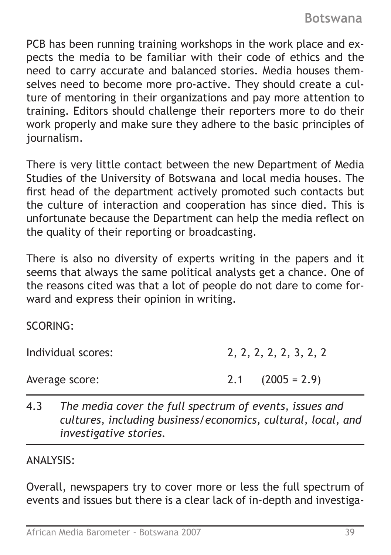PCB has been running training workshops in the work place and expects the media to be familiar with their code of ethics and the need to carry accurate and balanced stories. Media houses themselves need to become more pro-active. They should create a culture of mentoring in their organizations and pay more attention to training. Editors should challenge their reporters more to do their work properly and make sure they adhere to the basic principles of journalism.

There is very little contact between the new Department of Media Studies of the University of Botswana and local media houses. The first head of the department actively promoted such contacts but the culture of interaction and cooperation has since died. This is unfortunate because the Department can help the media reflect on the quality of their reporting or broadcasting.

There is also no diversity of experts writing in the papers and it seems that always the same political analysts get a chance. One of the reasons cited was that a lot of people do not dare to come forward and express their opinion in writing.

SCORING:

Individual scores: 2, 2, 2, 2, 2, 3, 2, 2

Average score: 2.1 (2005 = 2.9)

4.3 *The media cover the full spectrum of events, issues and cultures, including business/economics, cultural, local, and investigative stories.*

ANALYSIS:

Overall, newspapers try to cover more or less the full spectrum of events and issues but there is a clear lack of in-depth and investiga-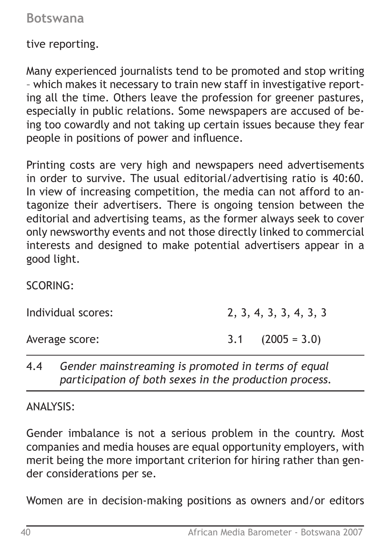tive reporting.

Many experienced journalists tend to be promoted and stop writing – which makes it necessary to train new staff in investigative reporting all the time. Others leave the profession for greener pastures, especially in public relations. Some newspapers are accused of being too cowardly and not taking up certain issues because they fear people in positions of power and influence.

Printing costs are very high and newspapers need advertisements in order to survive. The usual editorial/advertising ratio is 40:60. In view of increasing competition, the media can not afford to antagonize their advertisers. There is ongoing tension between the editorial and advertising teams, as the former always seek to cover only newsworthy events and not those directly linked to commercial interests and designed to make potential advertisers appear in a good light.

SCORING:

| Individual scores: | 2, 3, 4, 3, 3, 4, 3, 3 |                      |  |  |  |  |  |
|--------------------|------------------------|----------------------|--|--|--|--|--|
| Average score:     |                        | $3.1$ $(2005 = 3.0)$ |  |  |  |  |  |

# 4.4 *Gender mainstreaming is promoted in terms of equal participation of both sexes in the production process.*

ANALYSIS:

Gender imbalance is not a serious problem in the country. Most companies and media houses are equal opportunity employers, with merit being the more important criterion for hiring rather than gender considerations per se.

Women are in decision-making positions as owners and/or editors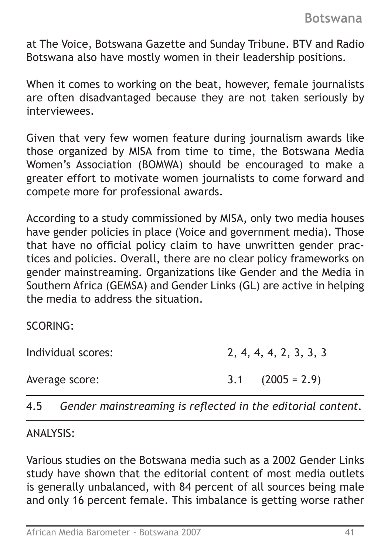at The Voice, Botswana Gazette and Sunday Tribune. BTV and Radio Botswana also have mostly women in their leadership positions.

When it comes to working on the beat, however, female journalists are often disadvantaged because they are not taken seriously by interviewees.

Given that very few women feature during journalism awards like those organized by MISA from time to time, the Botswana Media Women's Association (BOMWA) should be encouraged to make a greater effort to motivate women journalists to come forward and compete more for professional awards.

According to a study commissioned by MISA, only two media houses have gender policies in place (Voice and government media). Those that have no official policy claim to have unwritten gender practices and policies. Overall, there are no clear policy frameworks on gender mainstreaming. Organizations like Gender and the Media in Southern Africa (GEMSA) and Gender Links (GL) are active in helping the media to address the situation.

SCORING:

Individual scores: 2, 4, 4, 4, 2, 3, 3, 3

Average score: 3.1 (2005 = 2.9)

4.5 *Gender mainstreaming is reflected in the editorial content.*

ANALYSIS:

Various studies on the Botswana media such as a 2002 Gender Links study have shown that the editorial content of most media outlets is generally unbalanced, with 84 percent of all sources being male and only 16 percent female. This imbalance is getting worse rather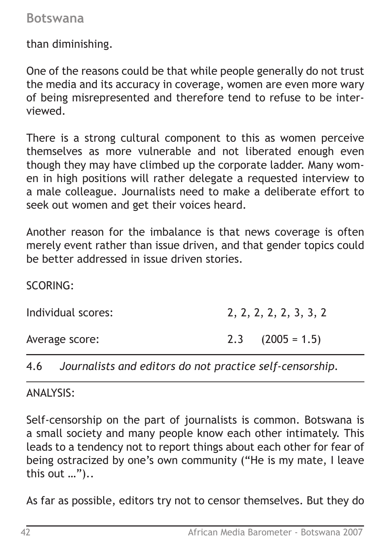than diminishing.

One of the reasons could be that while people generally do not trust the media and its accuracy in coverage, women are even more wary of being misrepresented and therefore tend to refuse to be interviewed.

There is a strong cultural component to this as women perceive themselves as more vulnerable and not liberated enough even though they may have climbed up the corporate ladder. Many women in high positions will rather delegate a requested interview to a male colleague. Journalists need to make a deliberate effort to seek out women and get their voices heard.

Another reason for the imbalance is that news coverage is often merely event rather than issue driven, and that gender topics could be better addressed in issue driven stories.

SCORING:

| Individual scores: | 2, 2, 2, 2, 2, 3, 3, 2 |
|--------------------|------------------------|
| Average score:     | $2.3$ $(2005 = 1.5)$   |

4.6 *Journalists and editors do not practice self-censorship.*

ANALYSIS:

Self-censorship on the part of journalists is common. Botswana is a small society and many people know each other intimately. This leads to a tendency not to report things about each other for fear of being ostracized by one's own community ("He is my mate, I leave this out …")..

As far as possible, editors try not to censor themselves. But they do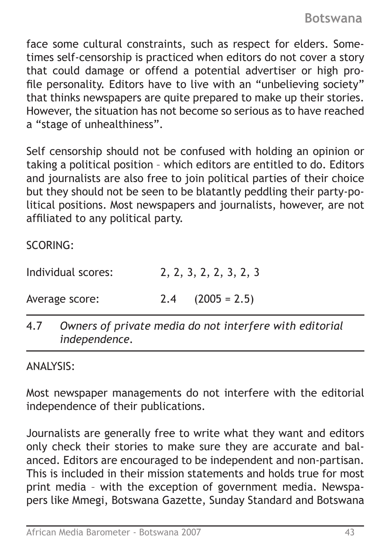face some cultural constraints, such as respect for elders. Sometimes self-censorship is practiced when editors do not cover a story that could damage or offend a potential advertiser or high profile personality. Editors have to live with an "unbelieving society" that thinks newspapers are quite prepared to make up their stories. However, the situation has not become so serious as to have reached a "stage of unhealthiness".

Self censorship should not be confused with holding an opinion or taking a political position – which editors are entitled to do. Editors and journalists are also free to join political parties of their choice but they should not be seen to be blatantly peddling their party-political positions. Most newspapers and journalists, however, are not affiliated to any political party.

SCORING:

| Individual scores: | 2, 2, 3, 2, 2, 3, 2, 3 |
|--------------------|------------------------|
| Average score:     | $2.4$ $(2005 = 2.5)$   |

4.7 *Owners of private media do not interfere with editorial independence.*

ANALYSIS:

Most newspaper managements do not interfere with the editorial independence of their publications.

Journalists are generally free to write what they want and editors only check their stories to make sure they are accurate and balanced. Editors are encouraged to be independent and non-partisan. This is included in their mission statements and holds true for most print media – with the exception of government media. Newspapers like Mmegi, Botswana Gazette, Sunday Standard and Botswana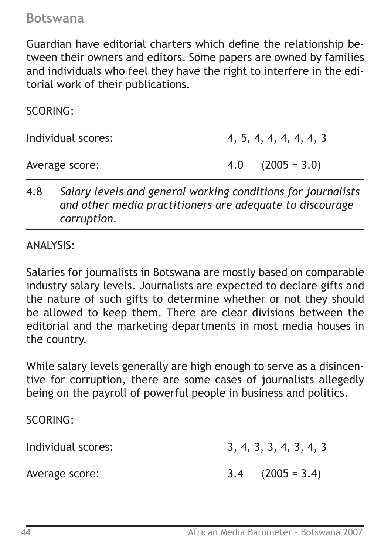Guardian have editorial charters which define the relationship between their owners and editors. Some papers are owned by families and individuals who feel they have the right to interfere in the editorial work of their publications.

SCORING:

Individual scores: 4, 5, 4, 4, 4, 4, 4, 3

Average score: 4.0 (2005 = 3.0)

4.8 *Salary levels and general working conditions for journalists and other media practitioners are adequate to discourage corruption.*

ANALYSIS:

Salaries for journalists in Botswana are mostly based on comparable industry salary levels. Journalists are expected to declare gifts and the nature of such gifts to determine whether or not they should be allowed to keep them. There are clear divisions between the editorial and the marketing departments in most media houses in the country.

While salary levels generally are high enough to serve as a disincentive for corruption, there are some cases of journalists allegedly being on the payroll of powerful people in business and politics.

SCORING:

Individual scores: 3, 4, 3, 3, 4, 3, 4, 3

Average score: 3.4 (2005 = 3.4)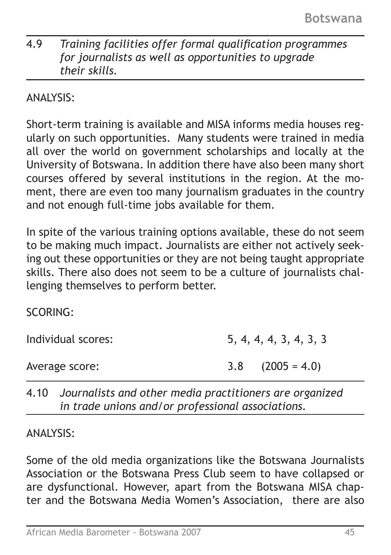# 4.9 *Training facilities offer formal qualification programmes for journalists as well as opportunities to upgrade their skills.*

ANALYSIS:

Short-term training is available and MISA informs media houses regularly on such opportunities. Many students were trained in media all over the world on government scholarships and locally at the University of Botswana. In addition there have also been many short courses offered by several institutions in the region. At the moment, there are even too many journalism graduates in the country and not enough full-time jobs available for them.

In spite of the various training options available, these do not seem to be making much impact. Journalists are either not actively seeking out these opportunities or they are not being taught appropriate skills. There also does not seem to be a culture of journalists challenging themselves to perform better.

SCORING: Individual scores: 5, 4, 4, 4, 3, 4, 3, 3 Average score: 3.8 (2005 = 4.0)

4.10 *Journalists and other media practitioners are organized in trade unions and/or professional associations.*

ANALYSIS:

Some of the old media organizations like the Botswana Journalists Association or the Botswana Press Club seem to have collapsed or are dysfunctional. However, apart from the Botswana MISA chapter and the Botswana Media Women's Association, there are also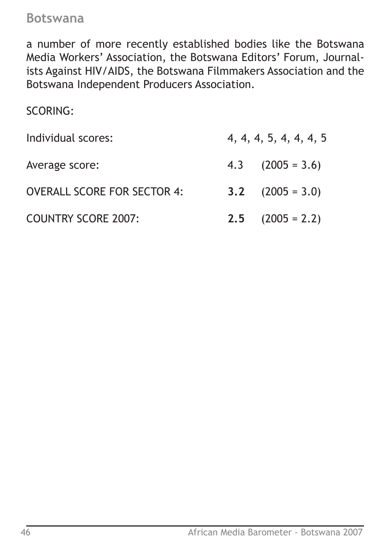a number of more recently established bodies like the Botswana Media Workers' Association, the Botswana Editors' Forum, Journalists Against HIV/AIDS, the Botswana Filmmakers Association and the Botswana Independent Producers Association.

SCORING:

| Individual scores:                 | 4, 4, 4, 5, 4, 4, 4, 5 |                      |
|------------------------------------|------------------------|----------------------|
| Average score:                     |                        | $4.3$ $(2005 = 3.6)$ |
| <b>OVERALL SCORE FOR SECTOR 4:</b> |                        | 3.2 $(2005 = 3.0)$   |
| <b>COUNTRY SCORE 2007:</b>         | 2.5                    | $(2005 = 2.2)$       |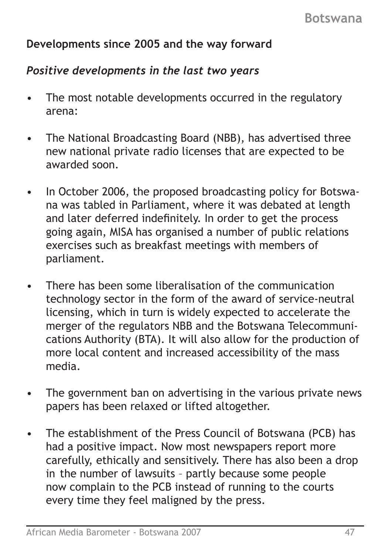# **Developments since 2005 and the way forward**

## *Positive developments in the last two years*

- The most notable developments occurred in the regulatory arena:
- The National Broadcasting Board (NBB), has advertised three new national private radio licenses that are expected to be awarded soon.
- In October 2006, the proposed broadcasting policy for Botswa na was tabled in Parliament, where it was debated at length and later deferred indefinitely. In order to get the process going again, MISA has organised a number of public relations exercises such as breakfast meetings with members of parliament.
- There has been some liberalisation of the communication technology sector in the form of the award of service-neutral licensing, which in turn is widely expected to accelerate the merger of the regulators NBB and the Botswana Telecommuni cations Authority (BTA). It will also allow for the production of more local content and increased accessibility of the mass media.
- The government ban on advertising in the various private news papers has been relaxed or lifted altogether.
- The establishment of the Press Council of Botswana (PCB) has had a positive impact. Now most newspapers report more carefully, ethically and sensitively. There has also been a drop in the number of lawsuits – partly because some people now complain to the PCB instead of running to the courts every time they feel maligned by the press.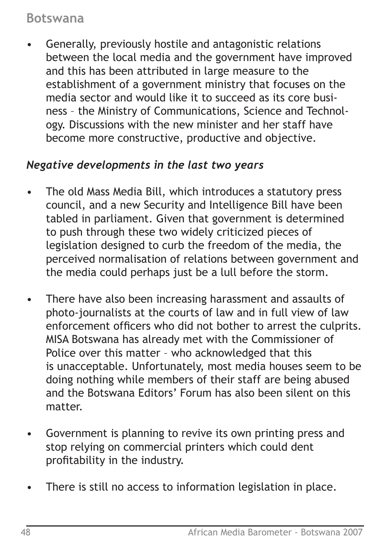• Generally, previously hostile and antagonistic relations between the local media and the government have improved and this has been attributed in large measure to the establishment of a government ministry that focuses on the media sector and would like it to succeed as its core busi ness – the Ministry of Communications, Science and Technol ogy. Discussions with the new minister and her staff have become more constructive, productive and objective.

# *Negative developments in the last two years*

- The old Mass Media Bill, which introduces a statutory press council, and a new Security and Intelligence Bill have been tabled in parliament. Given that government is determined to push through these two widely criticized pieces of legislation designed to curb the freedom of the media, the perceived normalisation of relations between government and the media could perhaps just be a lull before the storm.
- There have also been increasing harassment and assaults of photo-journalists at the courts of law and in full view of law enforcement officers who did not bother to arrest the culprits. MISA Botswana has already met with the Commissioner of Police over this matter – who acknowledged that this is unacceptable. Unfortunately, most media houses seem to be doing nothing while members of their staff are being abused and the Botswana Editors' Forum has also been silent on this matter.
- Government is planning to revive its own printing press and stop relying on commercial printers which could dent profitability in the industry.
- There is still no access to information legislation in place.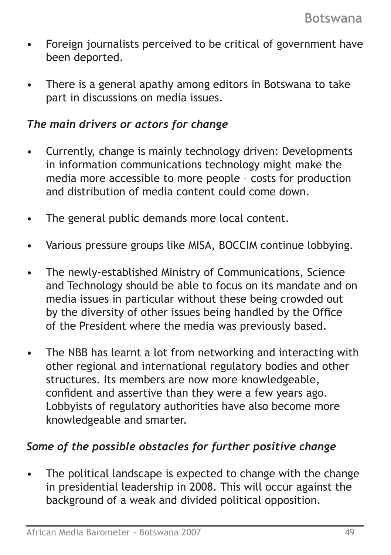- Foreign journalists perceived to be critical of government have been deported.
- There is a general apathy among editors in Botswana to take part in discussions on media issues.

### *The main drivers or actors for change*

- Currently, change is mainly technology driven: Developments in information communications technology might make the media more accessible to more people – costs for production and distribution of media content could come down.
- The general public demands more local content.
- Various pressure groups like MISA, BOCCIM continue lobbying.
- The newly-established Ministry of Communications, Science and Technology should be able to focus on its mandate and on media issues in particular without these being crowded out by the diversity of other issues being handled by the Office of the President where the media was previously based.
- The NBB has learnt a lot from networking and interacting with other regional and international regulatory bodies and other structures. Its members are now more knowledgeable, confident and assertive than they were a few years ago. Lobbyists of regulatory authorities have also become more knowledgeable and smarter.

# *Some of the possible obstacles for further positive change*

The political landscape is expected to change with the change in presidential leadership in 2008. This will occur against the background of a weak and divided political opposition.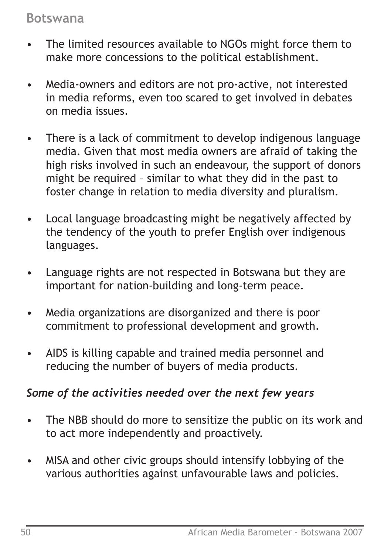- The limited resources available to NGOs might force them to make more concessions to the political establishment.
- Media-owners and editors are not pro-active, not interested in media reforms, even too scared to get involved in debates on media issues.
- There is a lack of commitment to develop indigenous language media. Given that most media owners are afraid of taking the high risks involved in such an endeavour, the support of donors might be required – similar to what they did in the past to foster change in relation to media diversity and pluralism.
- Local language broadcasting might be negatively affected by the tendency of the youth to prefer English over indigenous languages.
- Language rights are not respected in Botswana but they are important for nation-building and long-term peace.
- Media organizations are disorganized and there is poor commitment to professional development and growth.
- AIDS is killing capable and trained media personnel and reducing the number of buyers of media products.

# *Some of the activities needed over the next few years*

- The NBB should do more to sensitize the public on its work and to act more independently and proactively.
- MISA and other civic groups should intensify lobbying of the various authorities against unfavourable laws and policies.